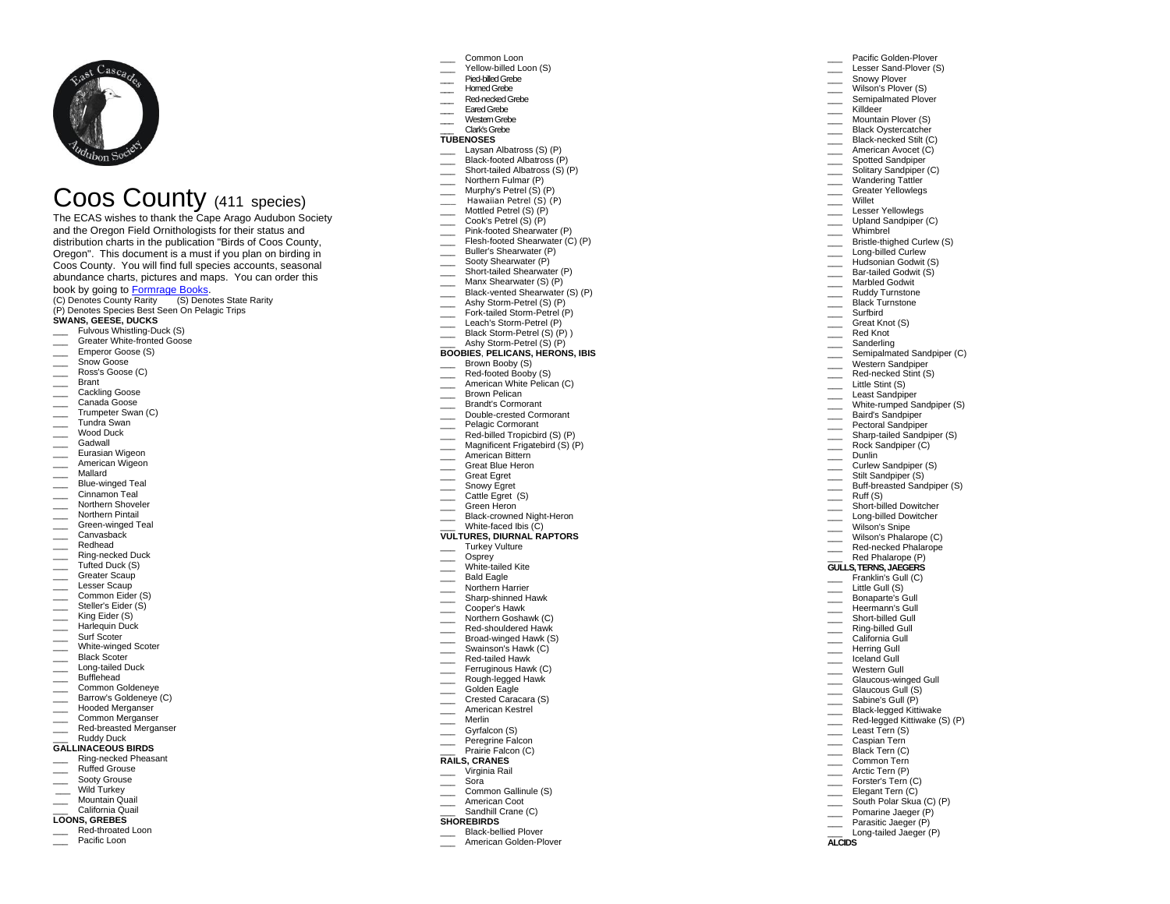

# Coos County (411 species)

The ECAS wishes to thank the Cape Arago Audubon Society and the Oregon Field Ornithologists for their status and distribution charts in the publication "Birds of Coos County, Oregon". This document is a must if you plan on birding in Coos County. You will find full species accounts, seasonal abundance charts, pictures and maps. You can order this book by going to [Formrage Books.](https://formrage.com/ebook/birds-of-coos-county-oregon) 

(C) Denotes County Rarity (S) Denotes State Rarity (P) Denotes Species Best Seen On Pelagic Trips **SWANS, GEESE, DUCKS**

- Fulvous Whistling-Duck (S)
- Greater White-fronted Goose
- Emperor Goose (S)
- 
- \_\_\_ Snow Goose \_\_\_ Ross's Goose (C)
- \_\_\_ Brant
- \_\_\_ Cackling Goose
- Canada Goose
- Trumpeter Swan (C)
- \_\_\_ Tundra Swan
- \_\_\_ Wood Duck
- Gadwall
- \_\_\_ Eurasian Wigeon
- \_\_\_\_ American Wigeon
- \_\_\_ Mallard
- \_\_\_ Blue-winged Teal
- Cinnamon Teal
- \_\_\_ Northern Shoveler
- Northern Pintail
- **Example 3** Green-winged Teal
- \_\_\_ Canvasback
- \_\_\_ Redhead
- \_\_\_ Ring-necked Duck
- \_\_\_ Tufted Duck (S)
- \_\_\_ Greater Scaup
- Lesser Scaup
- \_\_\_ Common Eider (S)
- \_\_\_\_ Steller's Eider (S)
- \_\_\_ King Eider (S)
- Harlequin Duck
- \_\_\_ Surf Scoter
- \_\_\_ White-winged Scoter
- Black Scoter
- Long-tailed Duck
- Bufflehead
- \_\_\_ Common Goldeneye \_\_\_ Barrow's Goldeneye (C)
- Hooded Merganser
- **Common Merganser**
- \_\_\_ Red-breasted Merganser
- Ruddy Duck

## **GALLINACEOUS BIRDS**

- \_\_\_ Ring-necked Pheasant
- \_\_\_ Ruffed Grouse
- \_\_\_ Sooty Grouse
- Wild Turkey
- \_\_\_ Mountain Quail \_\_\_ California Quail
- **LOONS, GREBES**

Red-throated Loon Pacific Loon

- Common Loon
- Yellow-billed Loon (S)

Pacific Golden-Plover Lesser Sand-Plover (S) Snowy Plover Wilson's Plover (S) Semipalmated Plover \_\_\_ Killdeer Mountain Plover (S) Black Oystercatcher Black-necked Stilt (C) American Avocet (C) Spotted Sandpiper Solitary Sandpiper (C) Wandering Tattler Greater Yellowlegs

Lesser Yellowlegs Upland Sandpiper (C) Whimbrel

Bristle-thighed Curlew (S) Long-billed Curlew Hudsonian Godwit (S) Bar-tailed Godwit (S) Marbled Godwit Ruddy Turnstone Black Turnstone

\_\_\_ Willet

\_\_\_ Surfbird Great Knot (S) \_\_\_ Red Knot **Sanderling** Semipalmated Sandpiper (C) Western Sandpiper Red-necked Stint (S) Little Stint (S) Least Sandpiper White-rumped Sandpiper (S) \_\_\_ Baird's Sandpiper Pectoral Sandpiper **Example 3** Sharp-tailed Sandpiper (S) Rock Sandpiper (C) \_\_\_ Dunlin **Curlew Sandpiper (S)** Stilt Sandpiper (S) Buff-breasted Sandpiper (S)

Ruff (S) Short-billed Dowitcher Long-billed Dowitcher Wilson's Snipe Wilson's Phalarope (C) Red-necked Phalarope Red Phalarope (P) **GULLS, TERNS, JAEGERS** Franklin's Gull (C) Little Gull (S) Bonaparte's Gull Heermann's Gull Short-billed Gull \_\_\_ Ring-billed Gull California Gull Herring Gull Iceland Gull Western Gull \_\_\_\_ Glaucous-winged Gull Glaucous Gull (S) Sabine's Gull (P) \_\_\_ Black-legged Kittiwake Red-legged Kittiwake (S) (P)

\_\_\_ Least Tern (S) Caspian Tern Black Tern (C) \_\_\_ Common Tern Arctic Tern (P) \_\_\_ Forster's Tern (C) Elegant Tern (C) South Polar Skua (C) (P) Pomarine Jaeger (P) Parasitic Jaeger (P) Long-tailed Jaeger (P)

**ALCIDS**

- \_\_\_Pied-billed Grebe
- \_\_\_ Horned Grebe
- Red-necked Grebe \_\_\_ Eared Grebe
- 
- \_\_\_ Western Grebe \_\_\_ Clark's Grebe

#### **TUBENOSES**

- Laysan Albatross (S) (P)
- Black-footed Albatross (P)
- \_\_\_ Short-tailed Albatross (S) (P)
- Northern Fulmar (P)
- Murphy's Petrel  $(S)$  (P)
- Hawaiian Petrel (S) (P)
- Mottled Petrel (S) (P)
- Cook's Petrel (S) (P)
- **EXECUTE:** Pink-footed Shearwater (P)
- Flesh-footed Shearwater (C) (P)
- \_\_\_ Buller's Shearwater (P)
- \_\_\_\_ Sooty Shearwater (P)
- \_\_\_ Short-tailed Shearwater (P)
- \_\_\_ Manx Shearwater (S) (P)
- Black-vented Shearwater (S) (P)
- Ashy Storm-Petrel (S) (P)
- Fork-tailed Storm-Petrel (P)
- Leach's Storm-Petrel (P)
- Black Storm-Petrel (S) (P) ) Ashy Storm-Petrel (S) (P)

### **BOOBIES**, **PELICANS, HERONS, IBIS**

- Brown Booby (S)
- Red-footed Booby (S)
- **Example 2** American White Pelican (C)
- Brown Pelican
- \_\_\_ Brandt's Cormorant
- \_\_\_ Double-crested Cormorant
- Pelagic Cormorant
- Red-billed Tropicbird (S) (P)
- Magnificent Frigatebird (S) (P)
- American Bittern \_\_\_ Great Blue Heron
- 
- Great Egret
- Snowy Egret
- Cattle Egret (S)
- Green Heron
- \_\_\_ Black-crowned Night-Heron White-faced Ibis (C)

#### **VULTURES, DIURNAL RAPTORS**

\_\_\_ Turkey Vulture

Northern Harrier Sharp-shinned Hawk Cooper's Hawk Northern Goshawk (C) Red-shouldered Hawk Broad-winged Hawk (S) Swainson's Hawk (C) \_\_\_ Red-tailed Hawk Ferruginous Hawk (C) Rough-legged Hawk Golden Eagle Crested Caracara (S) \_\_\_ American Kestrel \_\_\_ Merlin \_\_\_ Gyrfalcon (S) Peregrine Falcon Prairie Falcon (C) **RAILS, CRANES** \_\_\_ Virginia Rail \_\_\_ Sora

> Common Gallinule (S) American Coot Sandhill Crane (C)

\_\_\_ Black-bellied Plover American Golden-Plover

**SHOREBIRDS**

Osprey White-tailed Kite Bald Eagle